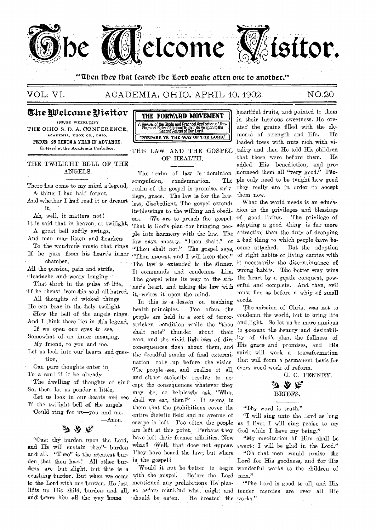

## "Then they that feared the Lord spake often one to another."

VOL. VI.

## ACADEMIA, OHIO, APRIL 10, 1902.

## NO.20

The Welcome Visitor

ISSUED WEEKLY BY THE OHIO S. D. A. CONFERENCE, ACADEMIA, KNOX CO., OHIO. PRICE: 25 OENTS A YEAR IN ADVANCE. Entered at the Academia Postoffice.

THE TWILIGHT BELL OF THE ANGELS.

There has come to my mind a legend, A thing I had half forgot,

And whether I had read it or dreamt it,

Ah, well, it matters not! It is said that in heaven, at twilight, A great bell softly swings,

And man may listen and hearken-To the wondrous music that rings If he puts from his heart's inner

chamber, All the passion, pain and strife,

Headache and weary longing

That throb in the pulse of life, If he thrust from his soul all hatred, All thoughts of wicked things

He can hear in the holy twilight How the bell of the angels rings.

And I think there lies in this legend, If we open our eyes to see.

Somewhat of an inner meaning, My friend, to you and me.

Let us look into our hearts and question.

Can pure thoughts enter in To a soul if it be already

The dwelling of thoughts of sin? So, then, let us ponder a little.

Let us look in our hearts and see If the twilight bell of the angels

Could ring for us-you and me.  $-$ Anon.

"Cast thy burden upon the Lord, and He will sustain thee"-burden and all. "Thee" is the greatest burden that thou hast! All other burdens are but slight, but this is a crushing burden. But when we come to the Lord with our burden, He just lifts up His child, burden and all, and bears him all the way home.



THE LAW AND THE GOSPEL OF HEALTH.

The realm of law is dominion compulsion, condemnation. The realm of the gospel is promise, priv ilege, grace. The law is for the lawless, disobedient. The gospel extends its blessings to the willing and obedient. We are to preach the gospel. of good living. The privilege of That is God's plan for bringing people into harmony with the law. The law says, mostly, "Thou shalt," or "Thou shalt not." The gospel says, "Thou mayest, and I will keep thee." The law is extended to the sinner, it necessarily the discontinuance of It commands and condemns him. The gospel wins its way to the sinner's heart, and taking the law with it, writes it upon the mind.

In this is a lesson on teaching health principles. Too often the people are held in a sort of terrorstricken condition while the "thou shalt nots" thunder about their ears, and the vivid lightings of dire consequences flash about them, and the dreadful smoke of final extermination rolls up before the vision The people see, and realize it all. and either stoically resolve to accept the consequences whatever they may be, or helplessly ask, 'What shall we eat, then?" It seems to them that the prohibitions cover the entire dietetic field and no avenue of escape is left. Too often the people are left at this point. Perhaps they have left their former affinities. Now what? Well, that does not appear. sweet; I will be glad in the Lord." They have heard the law; but where is the gospel?

with the gospel. Before the Lord men." mentioned any prohibitions He placed before mankind what might and tender mercies are over all His should be eaten. He created the works."

beautiful fruits, and pointed to them in their luscious sweetness. He created the grains filled with the elements of strength and life. He loaded trees with nuts rich with vitality and then He told His children that these were before them.  $He$ added His benediction, and pronounced them all "very good." People only need to be taught how good they really are in order to accept them now.

What the world needs is an education in the privileges and blessings adopting a good thing is far more attractive than the duty of dropping a bad thing to which people have be-.come attached. But the adoption of right habits of living carries with wrong habits. The better way wins the heart by a gentle conquest, powerful and complete. And then, evil must flee as before a whip of small cords.

The mission of Christ was not to condemn the world, but to bring life and light. So let us be more anxious to present the beauty and desirability of God's plan, the fullness of His grace and promises, and His spirit will work a transformation that will form a permanent basis for every good work of reform.

G. C. TENNEY.

## か ふ ぺ BRIEFS.

"Thy word is truth."

"I will sing unto the Lord as long as I live; I will sing praise to my God while I have my being."

"My meditation of Him shall be

"Oh that men would praise the Lord for His goodness, and for His Would it not be better to begin wonderful works to the children of

"The Lord is good to all, and His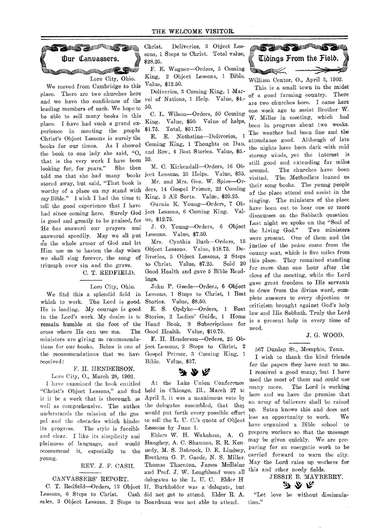

We moved from Cambridge to this place. There are two churches here and we have the confidence of the leading members of each. We hope tc be able to sell many 'books in this place. I have had such a grand experience in meeting the people Christ's Object Lessons is surely the books for our times. As I showed the book to one lady she said, "0, that is the very work I have been looking for, for years." She then told me that she had many books stored away, but said, "That book is worthy of a place on my stand with my Bible." I wish I had the time tc tell the good experience that I have had since coming here. Surely God is good and greatly to be praised, for He has answerd our prayers and answered speedily. May we all put on the whole armor of God and let Him use us to hasten the day when we shall sing forever, the song of triumph over sin and the grave.

## C. T. REDFIELD.

#### Lore City, Ohio.

which to work. The Lord is good. He is leading. My courage is good in the Lord's work. My desire is tc remain humble at the foot of the cross where He can use me. The ministers are giving us recommendations for our hooks. Below is one of the recommendations that we have received:

#### F. H. HENDERSON.

Lore City, 0., March 28, 1902.

I have examined the book entitled "Christ's Object Lessons," and find it it be a work that is thorough as well as comprehensive. The author understands the mission of the gospel and the obstacles which hinder its progress. The style is forcible and clear. I like its simplicity and plainness of language, and would recommend it, especially to the young.

#### REV. J. F. CASH.

#### CANVASSERS' REPORT.

Lessons, 6 Steps to Christ.

Christ. Deliveries, 3 Object Lessons, 1 Steps to Christ. Total value, sons, I Steps to Christ. Lotal Value, **Ulliangs From the Field.** 

F. E. Wagner—Orders, 5 Coming King, 2 Object Lessons, 1 Bible. Aing, 2 Object Lessons, 1 Divie. William Center, O., April 3, 1902.

vertex, velocities,  $\frac{1}{2}$  well of Nations, 1 Help. Value, \$4.- of a good farming country. There

50.<br>C. L. Wilson-Orders, 50 Coming . King. Value, \$50. Value of helps, W Miller in meeting, which had  $1.75.$  Value,  $\frac{1}{2}$  value of  $\frac{1}{2}$  been in progress about two weeks.

Coming King, 1 Thoughts on Dan. coming Exing, I Lnoughts on Dan.<br>and Rev., 4 Best Stories. Value, \$5.-25.

Mr. and Mrs. Geo. W. Spies-Orders, 14 Gospel Primer, 22 Coming King, 5 All Sorts. Value, \$29.25.

Gurnie K. Young—Orders, 7 Object Lessons, 6 Coming King. Value, \$12.75.

J. O. Young-Orders, 6 Object Lessons. Value, \$7.50.

Mrs. Cynthia Bush—Orders, 15 Object Lessons. Value, \$18.75. Deliveries, 5 Object Lessons, 2 Steps to Christ. Value, \$7.25. Sold 20 Good Health and gave 5 Bible Readings.

We find this a splendid field in Lessons, 1 Steps to Christ, 1 Best John P. Gaede-Orders, 6 Object Stories. Value, \$8.50.

> E. S. Opdyke—Orders, 1 Best Stories, 2 Ladies' Guide, 1 Home Hand Book, 2 Subscriptions for Good Health. Value, \$10.75.

> F. H. Henderson—Orders, 25 Object Lessons, 2 Steps to Christ, 2 Gospel Primer, 3 Coming King, 1 Bible. Value, \$37.

## みのな

At the Lake Union Conference held in Chicago, Ill., March 27 tc April 3, it was a unanimous vote bz the delegates assembled, that they would put forth every possible effort to sell the L. U. C.'s quota of Object Lessons by June 1.

C. T. Redfield—Orders, 13 Object H. Burkholder was a 'delegate, 'but sales, 3 Object Lessons, 2 Steps to Boardman was not able to attend. Elders W. H. Wakeham, A. G Haughey, A. C. Shannon, R. R. Kennedy, M. S. Babcock, D. E. Lindsey, Brethren G. P. Gaede, N. S. Miller, Thomas Thornton, Tames McBaine and Prof. J. W. Loughhead were all delegates to the L. U. C. Elder H Cash did not get to attend. Elder R. A.



 $\mu$  and  $\sigma$ ,  $\mu$  and  $\sigma$ .<br>Deliveries, 3 Coming King, 1 Marare two churches here. I came here one week ago to assist Brother W. E. E. Nothstine—Deliveries, 1 The weather had been fine and the  $E$ . E. Nothstine—Deliveries, 1 attendance good. Although of late stormy winds, yet the interest is M. C. Kirkendall—Orders, 16 Oh- still good and extending for miles ject Lessons, 25 Helps. Value, \$35. around. The churches have been their song books. The young people of the place 'attend and assist in the singing. The ministers of the place have been out to hear one or more discourses on -the Sabbath question Last night we spoke on the "Seal of the Living God." Two ministers were present. One of them and the justice of the peace came from the county seat, which is five miles from this place. 'They remained standing for more than one hour after the close of the meeting, while the Lord gave great freedom, to His servants to draw from the divine word, complete answers to every objection or criticism brought against God's holy law and His Sabbath. Truly the Lord is a present help in every time of need.

#### J. G. WOOD.

567 Dunlap St., Memphis, Tenn.

I wish to thank the kind friends for the papers they have sent to me. I received a good many, but I have used the most of them and could use many more. The Lord is working here and we have the promise that an- army of believers shall 'be raised up. Satan knows- this and does not lose an opportunity to work. We have organized 'a Bible school to prepare workers so that the message may be given quickly. We are preparing for an energetic work to be carried forward to warn the city. May the Lord raise up workers for this and other needy fields.

## JESSIE B. MAYBERRY. 矛众族

"Let love be without dissimulation."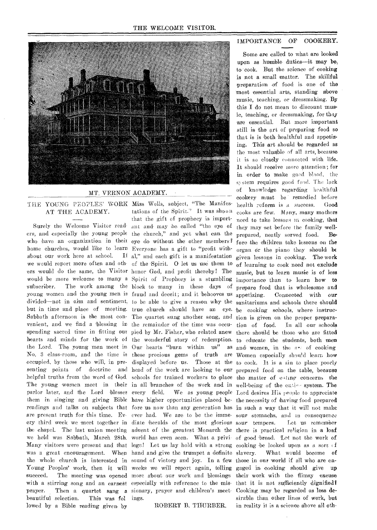

#### MT. VERNON ACADEMY.

#### THE YOUNG PEOPLES' WORK Miss Wells, subject, "The Manifes-AT THE ACADEMY.

ers, and especially the young people the church," and yet what can the who have an organization in their eye do without the other members? home churches, would like to learn Everyone has a gift to "profit withabout our work here at school. we would report more often and oth-of the Spirit. 0 let us use them to ers would do the same, the Visitor honor God, and profit thereby! The would be more welcome to many a Spirit of Prophecy is a stumbling subscriber. The work among the block to many in these days of young women and the young men is fraud and deceit; and it behooves us divided—not in aim and sentiment, to be able to *give* a reason why the but in time and place of meeting. true church should have an eye. be cooking schools, where instruc-Sabbath afternoon is the most con-The quartet sung another song, and venient, and we find a 'blessing in the remainder of the time was occuspending sacred time in fitting our pied by Mr. Fisher, who related anew hearts and minds for the work of the wonderful story of redemption. to educate the students, both men the Lord. The young men meet in Our hearts "burn within us" as and women, in the art of cooking No. 3 class-room, and the time is these precious gems of truth are Women especially should learn how occupied, by those who will, in pre-displayed before us. Those at the to cook. It is a sin to place poorly senting points of doctrine and head of the work are looking to our prepared food on the table, because helpful truths from the word of God. schools for trained workers to place the matter of esting concerns the The young women meet in their in all branches of the work and in well-being of the entire system. The parlor later, and the Lord blesses them in singing and giving Bible have higher opportunities placed be-the necessity of having food prepared readings and talks on subjects that fore us now than any generation has in such a way that it will not make are present truth for this time. Every third week we meet together in diate heralds of the most glorious the chapel. The last union meeting advent of the greatest Monarch the there is practical religion in a loaf we held was Sabbath, March 28th. world has even seen. What a privi. of good 'bread. Let not the work of Many visitors were present and that lege! Let us lay hold with a strong cooking be looked upon as a sort of was a great encouragement. When hand and give the trumpet a definite the whole church is interested in sound of victory and joy. In a few those in our world if all who are en-Young Peoples' work, then it will weeks we will report again, telling gaged in cooking should give up succeed. The meeting was opened more about our work and blessings their work with the flimsy excuse with a stirring song and an earnest especially with reference to the mis- that it is not sufficiently dignified? prayer. Then a quartet sang a sionary, prayer and children's meet- Cooking may be regarded as less debeautiful selection. This was fol lowed by a Bible reading given by

Surely the Welcome Visitor read ant and may be called "the eye of tations of the Spirit." It was shown that the gift of prophecy is import-If al," and each gift is a manifestation ings.

ROBERT B. THURBER.

#### IMPORTANCE OF COOKERY.

every field. We as young people Lord desires His people to appreciate ever had. We are to be the imme-sour stomachs, and in consequence Some are called to what are looked upon as humble duties—it may be to cook. But the science of cooking is not a small matter. The skillful preparation of food is one of the most essential arts, standing above music, teaching, or dressmaking. By this I do not mean to discount music, teaching, or dressmaking, for they are essential. But more important still is the art of preparing food so that is is both healthful and appetizing. This art should be regarded as the most valuable of all arts, because it is so closely connected with life. It should receive more attention; for in order to make goad blood. the system requires good food. The lack of knowledge regarding healthful cookery must be remedied before health reform is a success. Good cooks are few. Many, many mothers need to take lessons In cooking, that they may set before the family *'well*prepared, neatly served food. Before the children take lessons on the organ or the piano they should be given lessons in cooking. The work of learning to cook need not exclude music, but to learn music is of less importance than to learn how to prepare food that is wholesome and Connected with our sanitariums and schools there should tion is given on the proper preparation of food. In all our schools there should be those who are fitted Let us remember What would become of sirable than other lines of work, but in reality it is a science above all oth-